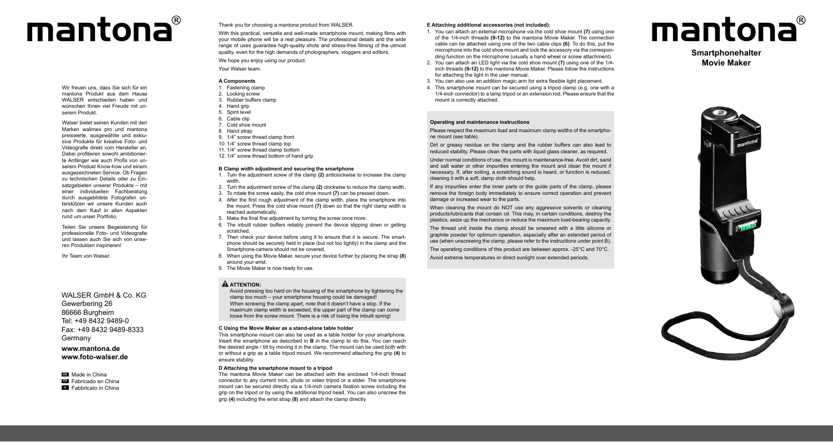## mantona®

Wir freuen uns, dass Sie sich für ein mantona Produkt aus dem Hause WALSER entschieden haben und wünschen Ihnen viel Freude mit un serem Produkt.

Walser bietet seinen Kunden mit den Marken walimex pro und mantona preiswerte, ausgewählte und exklu sive Produkte für kreative Foto- und Videografie direkt vom Hersteller an. Dabei profitieren sowohl ambitionier te Anfänger wie auch Profis von un serem Produkt Know-how und einem ausgezeichneten Service. Ob Fragen zu technischen Details oder zu Ein satzgebieten unserer Produkte – mit einer individuellen Fachberatung durch ausgebildete Fotografen un terstützen wir unsere Kunden auch nach dem Kauf in allen Aspekten rund um unser Portfolio.

Teilen Sie unsere Begeisterung für professionelle Foto- und Videografie und lassen auch Sie sich von unse ren Produkten inspirieren!

Ihr Team von Walser.

WALSER GmbH & Co. KG. Gewerbering 26 86666 Burgheim Tel: +49 8432 9489-0 Fax: +49 8432 9489-8333 Germany

**www.mantona.de www.foto-walser.de**

**EN** Made in China **ES** Fabricado en China **IT** Fabbricato in China Thank you for choosing a mantona product from WALSER.

With this practical, versatile and well-made smartphone mount, making films with your mobile phone will be a real pleasure. The professional details and the wide range of uses guarantee high-quality shots and stress-free filming of the utmost quality, even for the high demands of photographers, vloggers and editors.

We hope you enjoy using our product.

Your Walser team.

## **A Components**

- 1 Fastening clamp 2. Locking screw
- 3. Rubber buffers clamp
- 4 Hand grip
- 5. Spirit level
- 6. Cable clip
- 7. Cold shoe mount
- 8. Hand strap
- 9. 1/4" screw thread clamp front
- 10. 1/4" screw thread clamp top
- 11. 1/4" screw thread clamp bottom
- 12. 1/4" screw thread bottom of hand grip

#### **B Clamp width adjustment and securing the smartphone**

- 1. Turn the adjustment screw of the clamp **(2)** anticlockwise to increase the clamp width.
- 2. Turn the adjustment screw of the clamp **(2)** clockwise to reduce the clamp width.
- 3. To rotate the screw easily, the cold shoe mount **(7)** can be pressed down.
- 4. After the first rough adjustment of the clamp width, place the smartphone into the mount. Press the cold shoe mount **(7)** down so that the right clamp width is reached automatically.
- 5. Make the final fine adjustment by turning the screw once more.
- 6. The inbuilt rubber buffers reliably prevent the device slipping down or getting scratched.
- 7. Then check your device before using it to ensure that it is secure. The smart phone should be securely held in place (but not too tightly) in the clamp and the Smartphone-camera should not be covered.
- 8. When using the Movie Maker, secure your device further by placing the strap **(8)**  around your wrist.
- 9. The Movie Maker is now ready for use.

## **ATTENTION :**

Avoid pressing too hard on the housing of the smartphone by tightening the clamp too much – your smartphone housing could be damaged! When screwing the clamp apart, note that it doesn't have a stop. If the maximum clamp width is exceeded, the upper part of the clamp can come loose from the screw mount. There is a risk of losing the inbuilt spring!

#### **C Using the Movie Maker as a stand-alone table holder**

This smartphone mount can also be used as a table holder for your smartphone. Insert the smartphone as described in **B** in the clamp to do this. You can reach the desired angle / tilt by moving it in the clamp. The mount can be used both with or without a grip as a table tripod mount. We recommend attaching the grip **(4)** to ensure stability.

#### **D Attaching the smartphone mount to a tripod**

The mantona Movie Maker can be attached with the enclosed 1/4-inch thread connector to any current mini, photo or video tripod or a slider. The smartphone mount can be secured directly via a 1/4-inch camera fixation screw including the grip on the tripod or by using the additional tripod head. You can also unscrew the grip **(4)** including the wrist strap **(8)** and attach the clamp directly.

### **E Attaching additional accessories (not included):**

- 1. You can attach an external microphone via the cold shoe mount **(7)** using one of the 1/4-inch threads **(9-12)** to the mantona Movie Maker. The connection cable can be attached using one of the two cable clips **(6)**. To do this, put the microphone into the cold shoe mount and lock the accessory via the correspon ding function on the microphone (usually a hand wheel or screw attachment).
- 2. You can attach an LED light via the cold shoe mount **(7)** using one of the 1/4 inch threads **(9-12)** to the mantona Movie Maker. Please follow the instructions for attaching the light in the user manual.
- 3. You can also use an addition magic arm for extra flexible light placement.
- 4. This smartphone mount can be secured using a tripod clamp (e.g. one with a 1/4-inch connector) to a lamp tripod or an extension rod. Please ensure that the mount is correctly attached.

#### **Operating and maintenance instructions**

Please respect the maximum load and maximum clamp widths of the smartpho ne mount (see table).

Dirt or greasy residue on the clamp and the rubber buffers can also lead to reduced stability. Please clean the parts with liquid glass cleaner, as required.

Under normal conditions of use, this mount is maintenance-free. Avoid dirt, sand and salt water or other impurities entering the mount and clean the mount if necessary. If, after soiling, a scratching sound is heard, or function is reduced, cleaning it with a soft, damp cloth should help.

If any impurities enter the inner parts or the guide parts of the clamp, please remove the foreign body immediately to ensure correct operation and prevent damage or increased wear to the parts.

When cleaning the mount do NOT use any aggressive solvents or cleaning products/lubricants that contain oil. This may, in certain conditions, destroy the plastics, seize up the mechanics or reduce the maximum load-bearing capacity.

The thread unit inside the clamp should be smeared with a little silicone or graphite powder for optimum operation, especially after an extended period of use (when unscrewing the clamp, please refer to the instructions under point B).

The operating conditions of this product are between approx. -25°C and 70°C.

Avoid extreme temperatures or direct sunlight over extended periods.

# mantona®

**Smartphonehalter Movie Maker**